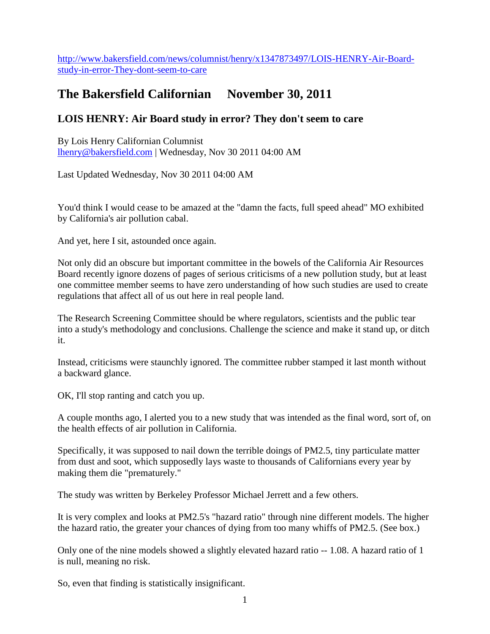[http://www.bakersfield.com/news/columnist/henry/x1347873497/LOIS-HENRY-Air-Board](http://www.bakersfield.com/news/columnist/henry/x1347873497/LOIS-HENRY-Air-Board-study-in-error-They-dont-seem-to-care)[study-in-error-They-dont-seem-to-care](http://www.bakersfield.com/news/columnist/henry/x1347873497/LOIS-HENRY-Air-Board-study-in-error-They-dont-seem-to-care)

## **The Bakersfield Californian November 30, 2011**

## **LOIS HENRY: Air Board study in error? They don't seem to care**

By Lois Henry Californian Columnist [lhenry@bakersfield.com](mailto:lhenry@bakersfield.com) | Wednesday, Nov 30 2011 04:00 AM

Last Updated Wednesday, Nov 30 2011 04:00 AM

You'd think I would cease to be amazed at the "damn the facts, full speed ahead" MO exhibited by California's air pollution cabal.

And yet, here I sit, astounded once again.

Not only did an obscure but important committee in the bowels of the California Air Resources Board recently ignore dozens of pages of serious criticisms of a new pollution study, but at least one committee member seems to have zero understanding of how such studies are used to create regulations that affect all of us out here in real people land.

The Research Screening Committee should be where regulators, scientists and the public tear into a study's methodology and conclusions. Challenge the science and make it stand up, or ditch it.

Instead, criticisms were staunchly ignored. The committee rubber stamped it last month without a backward glance.

OK, I'll stop ranting and catch you up.

A couple months ago, I alerted you to a new study that was intended as the final word, sort of, on the health effects of air pollution in California.

Specifically, it was supposed to nail down the terrible doings of PM2.5, tiny particulate matter from dust and soot, which supposedly lays waste to thousands of Californians every year by making them die "prematurely."

The study was written by Berkeley Professor Michael Jerrett and a few others.

It is very complex and looks at PM2.5's "hazard ratio" through nine different models. The higher the hazard ratio, the greater your chances of dying from too many whiffs of PM2.5. (See box.)

Only one of the nine models showed a slightly elevated hazard ratio -- 1.08. A hazard ratio of 1 is null, meaning no risk.

So, even that finding is statistically insignificant.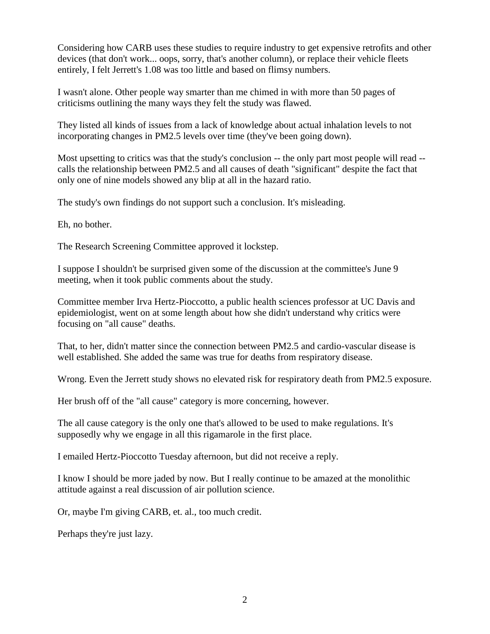Considering how CARB uses these studies to require industry to get expensive retrofits and other devices (that don't work... oops, sorry, that's another column), or replace their vehicle fleets entirely, I felt Jerrett's 1.08 was too little and based on flimsy numbers.

I wasn't alone. Other people way smarter than me chimed in with more than 50 pages of criticisms outlining the many ways they felt the study was flawed.

They listed all kinds of issues from a lack of knowledge about actual inhalation levels to not incorporating changes in PM2.5 levels over time (they've been going down).

Most upsetting to critics was that the study's conclusion -- the only part most people will read - calls the relationship between PM2.5 and all causes of death "significant" despite the fact that only one of nine models showed any blip at all in the hazard ratio.

The study's own findings do not support such a conclusion. It's misleading.

Eh, no bother.

The Research Screening Committee approved it lockstep.

I suppose I shouldn't be surprised given some of the discussion at the committee's June 9 meeting, when it took public comments about the study.

Committee member Irva Hertz-Pioccotto, a public health sciences professor at UC Davis and epidemiologist, went on at some length about how she didn't understand why critics were focusing on "all cause" deaths.

That, to her, didn't matter since the connection between PM2.5 and cardio-vascular disease is well established. She added the same was true for deaths from respiratory disease.

Wrong. Even the Jerrett study shows no elevated risk for respiratory death from PM2.5 exposure.

Her brush off of the "all cause" category is more concerning, however.

The all cause category is the only one that's allowed to be used to make regulations. It's supposedly why we engage in all this rigamarole in the first place.

I emailed Hertz-Pioccotto Tuesday afternoon, but did not receive a reply.

I know I should be more jaded by now. But I really continue to be amazed at the monolithic attitude against a real discussion of air pollution science.

Or, maybe I'm giving CARB, et. al., too much credit.

Perhaps they're just lazy.